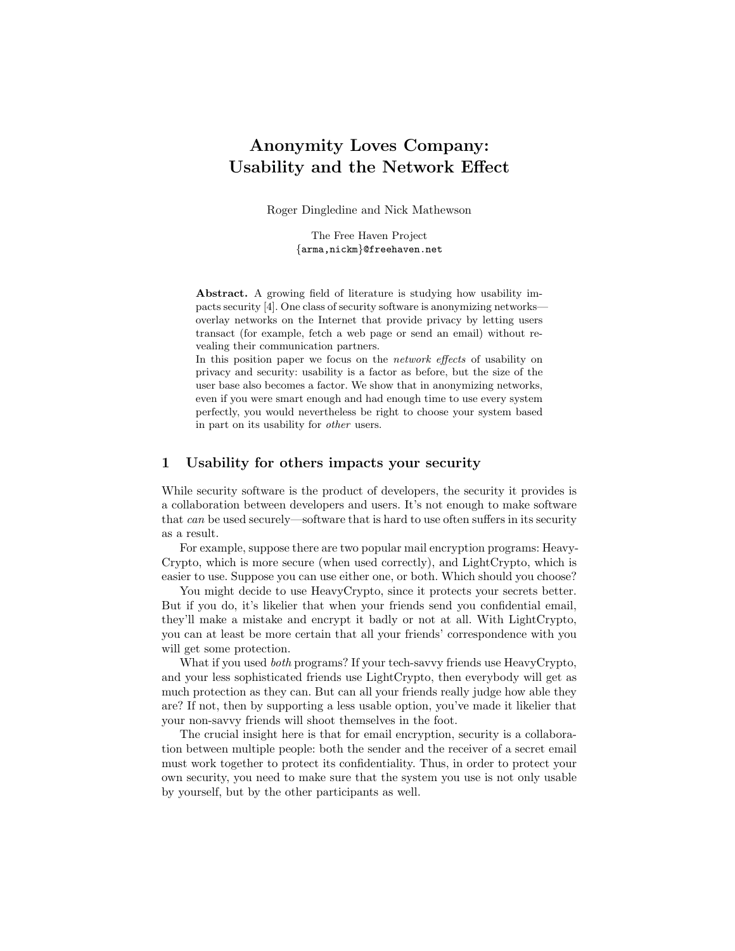# Anonymity Loves Company: Usability and the Network Effect

Roger Dingledine and Nick Mathewson

The Free Haven Project {arma,nickm}@freehaven.net

Abstract. A growing field of literature is studying how usability impacts security [4]. One class of security software is anonymizing networks overlay networks on the Internet that provide privacy by letting users transact (for example, fetch a web page or send an email) without revealing their communication partners.

In this position paper we focus on the *network effects* of usability on privacy and security: usability is a factor as before, but the size of the user base also becomes a factor. We show that in anonymizing networks, even if you were smart enough and had enough time to use every system perfectly, you would nevertheless be right to choose your system based in part on its usability for other users.

#### 1 Usability for others impacts your security

While security software is the product of developers, the security it provides is a collaboration between developers and users. It's not enough to make software that can be used securely—software that is hard to use often suffers in its security as a result.

For example, suppose there are two popular mail encryption programs: Heavy-Crypto, which is more secure (when used correctly), and LightCrypto, which is easier to use. Suppose you can use either one, or both. Which should you choose?

You might decide to use HeavyCrypto, since it protects your secrets better. But if you do, it's likelier that when your friends send you confidential email, they'll make a mistake and encrypt it badly or not at all. With LightCrypto, you can at least be more certain that all your friends' correspondence with you will get some protection.

What if you used *both* programs? If your tech-say friends use Heavy Crypto, and your less sophisticated friends use LightCrypto, then everybody will get as much protection as they can. But can all your friends really judge how able they are? If not, then by supporting a less usable option, you've made it likelier that your non-savvy friends will shoot themselves in the foot.

The crucial insight here is that for email encryption, security is a collaboration between multiple people: both the sender and the receiver of a secret email must work together to protect its confidentiality. Thus, in order to protect your own security, you need to make sure that the system you use is not only usable by yourself, but by the other participants as well.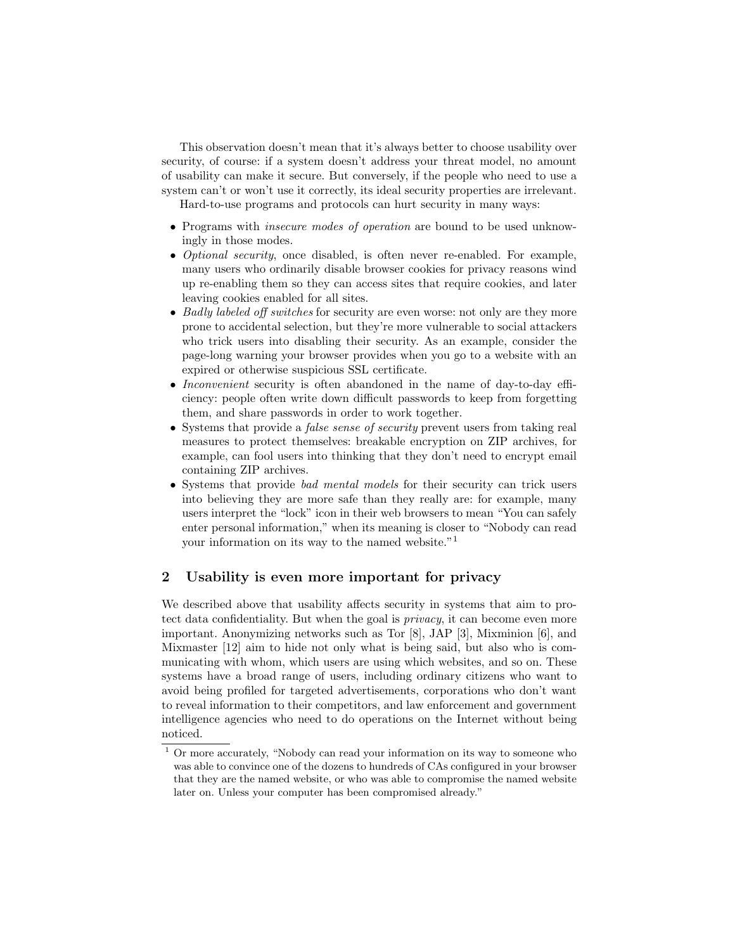This observation doesn't mean that it's always better to choose usability over security, of course: if a system doesn't address your threat model, no amount of usability can make it secure. But conversely, if the people who need to use a system can't or won't use it correctly, its ideal security properties are irrelevant.

Hard-to-use programs and protocols can hurt security in many ways:

- Programs with *insecure modes of operation* are bound to be used unknowingly in those modes.
- Optional security, once disabled, is often never re-enabled. For example, many users who ordinarily disable browser cookies for privacy reasons wind up re-enabling them so they can access sites that require cookies, and later leaving cookies enabled for all sites.
- Badly labeled off switches for security are even worse: not only are they more prone to accidental selection, but they're more vulnerable to social attackers who trick users into disabling their security. As an example, consider the page-long warning your browser provides when you go to a website with an expired or otherwise suspicious SSL certificate.
- Inconvenient security is often abandoned in the name of day-to-day efficiency: people often write down difficult passwords to keep from forgetting them, and share passwords in order to work together.
- Systems that provide a *false sense of security* prevent users from taking real measures to protect themselves: breakable encryption on ZIP archives, for example, can fool users into thinking that they don't need to encrypt email containing ZIP archives.
- Systems that provide *bad mental models* for their security can trick users into believing they are more safe than they really are: for example, many users interpret the "lock" icon in their web browsers to mean "You can safely enter personal information," when its meaning is closer to "Nobody can read your information on its way to the named website."<sup>1</sup>

# 2 Usability is even more important for privacy

We described above that usability affects security in systems that aim to protect data confidentiality. But when the goal is privacy, it can become even more important. Anonymizing networks such as Tor [8], JAP [3], Mixminion [6], and Mixmaster [12] aim to hide not only what is being said, but also who is communicating with whom, which users are using which websites, and so on. These systems have a broad range of users, including ordinary citizens who want to avoid being profiled for targeted advertisements, corporations who don't want to reveal information to their competitors, and law enforcement and government intelligence agencies who need to do operations on the Internet without being noticed.

 $^{\rm 1}$  Or more accurately, "Nobody can read your information on its way to someone who was able to convince one of the dozens to hundreds of CAs configured in your browser that they are the named website, or who was able to compromise the named website later on. Unless your computer has been compromised already."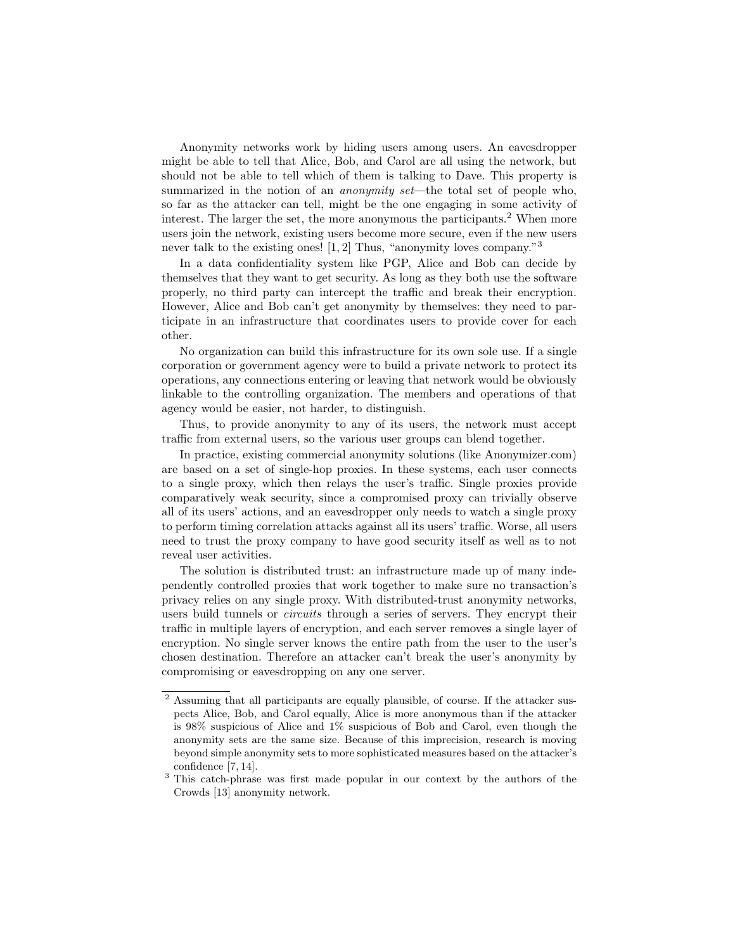Anonymity networks work by hiding users among users. An eavesdropper might be able to tell that Alice, Bob, and Carol are all using the network, but should not be able to tell which of them is talking to Dave. This property is summarized in the notion of an *anonymity set*—the total set of people who, so far as the attacker can tell, might be the one engaging in some activity of interest. The larger the set, the more anonymous the participants.<sup>2</sup> When more users join the network, existing users become more secure, even if the new users never talk to the existing ones! [1, 2] Thus, "anonymity loves company."<sup>3</sup>

In a data confidentiality system like PGP, Alice and Bob can decide by themselves that they want to get security. As long as they both use the software properly, no third party can intercept the traffic and break their encryption. However, Alice and Bob can't get anonymity by themselves: they need to participate in an infrastructure that coordinates users to provide cover for each other.

No organization can build this infrastructure for its own sole use. If a single corporation or government agency were to build a private network to protect its operations, any connections entering or leaving that network would be obviously linkable to the controlling organization. The members and operations of that agency would be easier, not harder, to distinguish.

Thus, to provide anonymity to any of its users, the network must accept traffic from external users, so the various user groups can blend together.

In practice, existing commercial anonymity solutions (like Anonymizer.com) are based on a set of single-hop proxies. In these systems, each user connects to a single proxy, which then relays the user's traffic. Single proxies provide comparatively weak security, since a compromised proxy can trivially observe all of its users' actions, and an eavesdropper only needs to watch a single proxy to perform timing correlation attacks against all its users' traffic. Worse, all users need to trust the proxy company to have good security itself as well as to not reveal user activities.

The solution is distributed trust: an infrastructure made up of many independently controlled proxies that work together to make sure no transaction's privacy relies on any single proxy. With distributed-trust anonymity networks, users build tunnels or *circuits* through a series of servers. They encrypt their traffic in multiple layers of encryption, and each server removes a single layer of encryption. No single server knows the entire path from the user to the user's chosen destination. Therefore an attacker can't break the user's anonymity by compromising or eavesdropping on any one server.

 $^2$  Assuming that all participants are equally plausible, of course. If the attacker suspects Alice, Bob, and Carol equally, Alice is more anonymous than if the attacker is 98% suspicious of Alice and 1% suspicious of Bob and Carol, even though the anonymity sets are the same size. Because of this imprecision, research is moving beyond simple anonymity sets to more sophisticated measures based on the attacker's confidence [7, 14].

<sup>3</sup> This catch-phrase was first made popular in our context by the authors of the Crowds [13] anonymity network.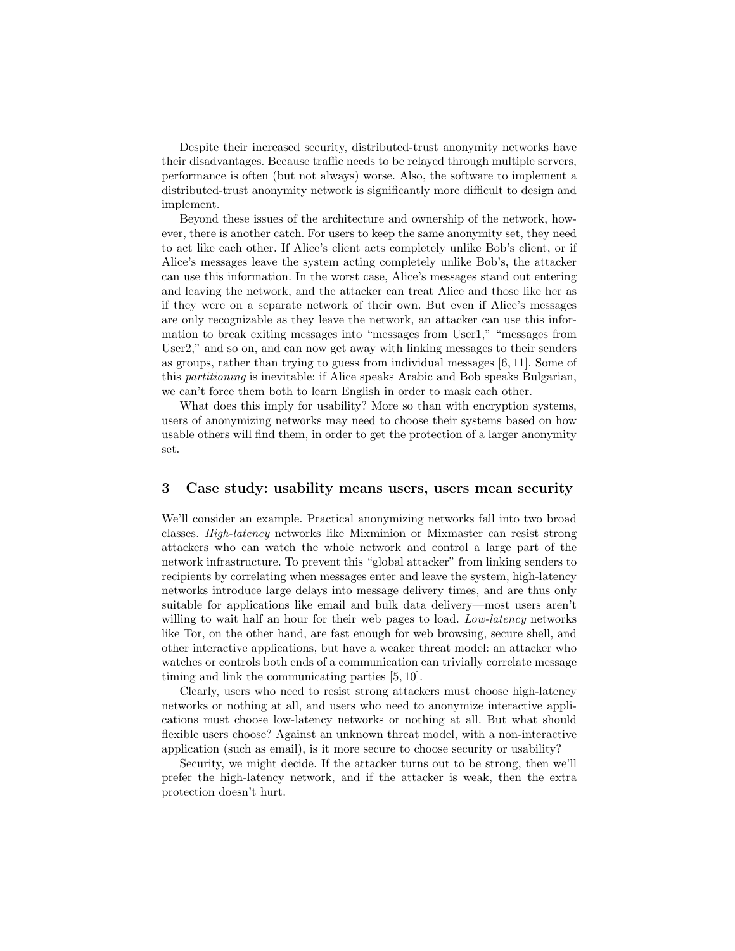Despite their increased security, distributed-trust anonymity networks have their disadvantages. Because traffic needs to be relayed through multiple servers, performance is often (but not always) worse. Also, the software to implement a distributed-trust anonymity network is significantly more difficult to design and implement.

Beyond these issues of the architecture and ownership of the network, however, there is another catch. For users to keep the same anonymity set, they need to act like each other. If Alice's client acts completely unlike Bob's client, or if Alice's messages leave the system acting completely unlike Bob's, the attacker can use this information. In the worst case, Alice's messages stand out entering and leaving the network, and the attacker can treat Alice and those like her as if they were on a separate network of their own. But even if Alice's messages are only recognizable as they leave the network, an attacker can use this information to break exiting messages into "messages from User1," "messages from User<sub>2</sub>," and so on, and can now get away with linking messages to their senders as groups, rather than trying to guess from individual messages [6, 11]. Some of this partitioning is inevitable: if Alice speaks Arabic and Bob speaks Bulgarian, we can't force them both to learn English in order to mask each other.

What does this imply for usability? More so than with encryption systems, users of anonymizing networks may need to choose their systems based on how usable others will find them, in order to get the protection of a larger anonymity set.

## 3 Case study: usability means users, users mean security

We'll consider an example. Practical anonymizing networks fall into two broad classes. High-latency networks like Mixminion or Mixmaster can resist strong attackers who can watch the whole network and control a large part of the network infrastructure. To prevent this "global attacker" from linking senders to recipients by correlating when messages enter and leave the system, high-latency networks introduce large delays into message delivery times, and are thus only suitable for applications like email and bulk data delivery—most users aren't willing to wait half an hour for their web pages to load. Low-latency networks like Tor, on the other hand, are fast enough for web browsing, secure shell, and other interactive applications, but have a weaker threat model: an attacker who watches or controls both ends of a communication can trivially correlate message timing and link the communicating parties [5, 10].

Clearly, users who need to resist strong attackers must choose high-latency networks or nothing at all, and users who need to anonymize interactive applications must choose low-latency networks or nothing at all. But what should flexible users choose? Against an unknown threat model, with a non-interactive application (such as email), is it more secure to choose security or usability?

Security, we might decide. If the attacker turns out to be strong, then we'll prefer the high-latency network, and if the attacker is weak, then the extra protection doesn't hurt.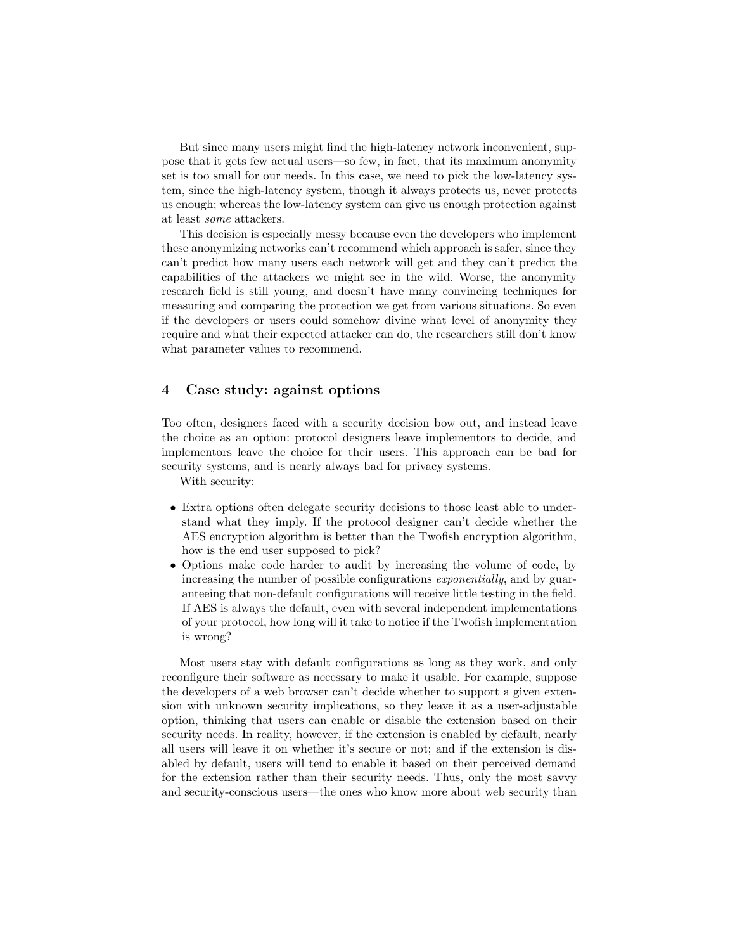But since many users might find the high-latency network inconvenient, suppose that it gets few actual users—so few, in fact, that its maximum anonymity set is too small for our needs. In this case, we need to pick the low-latency system, since the high-latency system, though it always protects us, never protects us enough; whereas the low-latency system can give us enough protection against at least some attackers.

This decision is especially messy because even the developers who implement these anonymizing networks can't recommend which approach is safer, since they can't predict how many users each network will get and they can't predict the capabilities of the attackers we might see in the wild. Worse, the anonymity research field is still young, and doesn't have many convincing techniques for measuring and comparing the protection we get from various situations. So even if the developers or users could somehow divine what level of anonymity they require and what their expected attacker can do, the researchers still don't know what parameter values to recommend.

# 4 Case study: against options

Too often, designers faced with a security decision bow out, and instead leave the choice as an option: protocol designers leave implementors to decide, and implementors leave the choice for their users. This approach can be bad for security systems, and is nearly always bad for privacy systems.

With security:

- Extra options often delegate security decisions to those least able to understand what they imply. If the protocol designer can't decide whether the AES encryption algorithm is better than the Twofish encryption algorithm, how is the end user supposed to pick?
- Options make code harder to audit by increasing the volume of code, by increasing the number of possible configurations *exponentially*, and by guaranteeing that non-default configurations will receive little testing in the field. If AES is always the default, even with several independent implementations of your protocol, how long will it take to notice if the Twofish implementation is wrong?

Most users stay with default configurations as long as they work, and only reconfigure their software as necessary to make it usable. For example, suppose the developers of a web browser can't decide whether to support a given extension with unknown security implications, so they leave it as a user-adjustable option, thinking that users can enable or disable the extension based on their security needs. In reality, however, if the extension is enabled by default, nearly all users will leave it on whether it's secure or not; and if the extension is disabled by default, users will tend to enable it based on their perceived demand for the extension rather than their security needs. Thus, only the most savvy and security-conscious users—the ones who know more about web security than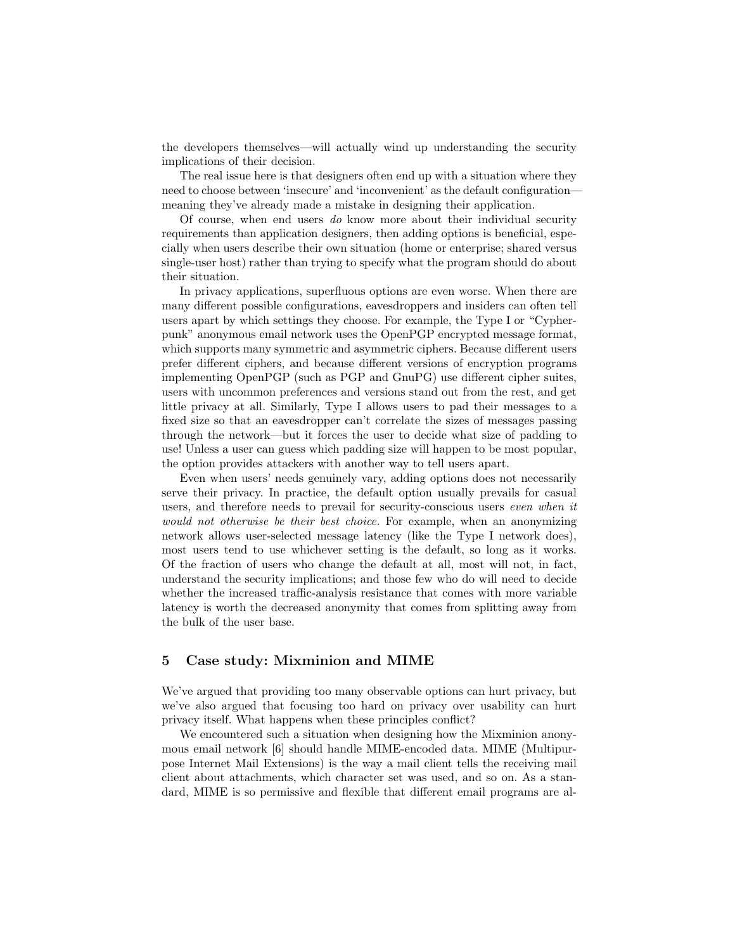the developers themselves—will actually wind up understanding the security implications of their decision.

The real issue here is that designers often end up with a situation where they need to choose between 'insecure' and 'inconvenient' as the default configuration meaning they've already made a mistake in designing their application.

Of course, when end users do know more about their individual security requirements than application designers, then adding options is beneficial, especially when users describe their own situation (home or enterprise; shared versus single-user host) rather than trying to specify what the program should do about their situation.

In privacy applications, superfluous options are even worse. When there are many different possible configurations, eavesdroppers and insiders can often tell users apart by which settings they choose. For example, the Type I or "Cypherpunk" anonymous email network uses the OpenPGP encrypted message format, which supports many symmetric and asymmetric ciphers. Because different users prefer different ciphers, and because different versions of encryption programs implementing OpenPGP (such as PGP and GnuPG) use different cipher suites, users with uncommon preferences and versions stand out from the rest, and get little privacy at all. Similarly, Type I allows users to pad their messages to a fixed size so that an eavesdropper can't correlate the sizes of messages passing through the network—but it forces the user to decide what size of padding to use! Unless a user can guess which padding size will happen to be most popular, the option provides attackers with another way to tell users apart.

Even when users' needs genuinely vary, adding options does not necessarily serve their privacy. In practice, the default option usually prevails for casual users, and therefore needs to prevail for security-conscious users even when it would not otherwise be their best choice. For example, when an anonymizing network allows user-selected message latency (like the Type I network does), most users tend to use whichever setting is the default, so long as it works. Of the fraction of users who change the default at all, most will not, in fact, understand the security implications; and those few who do will need to decide whether the increased traffic-analysis resistance that comes with more variable latency is worth the decreased anonymity that comes from splitting away from the bulk of the user base.

#### 5 Case study: Mixminion and MIME

We've argued that providing too many observable options can hurt privacy, but we've also argued that focusing too hard on privacy over usability can hurt privacy itself. What happens when these principles conflict?

We encountered such a situation when designing how the Mixminion anonymous email network [6] should handle MIME-encoded data. MIME (Multipurpose Internet Mail Extensions) is the way a mail client tells the receiving mail client about attachments, which character set was used, and so on. As a standard, MIME is so permissive and flexible that different email programs are al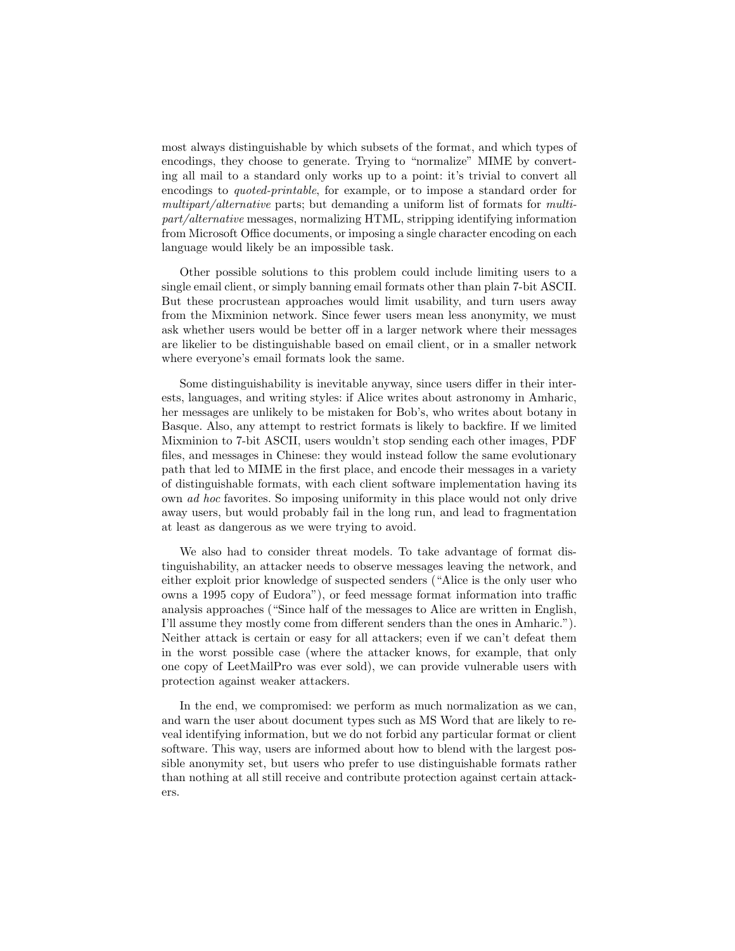most always distinguishable by which subsets of the format, and which types of encodings, they choose to generate. Trying to "normalize" MIME by converting all mail to a standard only works up to a point: it's trivial to convert all encodings to quoted-printable, for example, or to impose a standard order for multipart/alternative parts; but demanding a uniform list of formats for multipart/alternative messages, normalizing HTML, stripping identifying information from Microsoft Office documents, or imposing a single character encoding on each language would likely be an impossible task.

Other possible solutions to this problem could include limiting users to a single email client, or simply banning email formats other than plain 7-bit ASCII. But these procrustean approaches would limit usability, and turn users away from the Mixminion network. Since fewer users mean less anonymity, we must ask whether users would be better off in a larger network where their messages are likelier to be distinguishable based on email client, or in a smaller network where everyone's email formats look the same.

Some distinguishability is inevitable anyway, since users differ in their interests, languages, and writing styles: if Alice writes about astronomy in Amharic, her messages are unlikely to be mistaken for Bob's, who writes about botany in Basque. Also, any attempt to restrict formats is likely to backfire. If we limited Mixminion to 7-bit ASCII, users wouldn't stop sending each other images, PDF files, and messages in Chinese: they would instead follow the same evolutionary path that led to MIME in the first place, and encode their messages in a variety of distinguishable formats, with each client software implementation having its own ad hoc favorites. So imposing uniformity in this place would not only drive away users, but would probably fail in the long run, and lead to fragmentation at least as dangerous as we were trying to avoid.

We also had to consider threat models. To take advantage of format distinguishability, an attacker needs to observe messages leaving the network, and either exploit prior knowledge of suspected senders ("Alice is the only user who owns a 1995 copy of Eudora"), or feed message format information into traffic analysis approaches ("Since half of the messages to Alice are written in English, I'll assume they mostly come from different senders than the ones in Amharic."). Neither attack is certain or easy for all attackers; even if we can't defeat them in the worst possible case (where the attacker knows, for example, that only one copy of LeetMailPro was ever sold), we can provide vulnerable users with protection against weaker attackers.

In the end, we compromised: we perform as much normalization as we can, and warn the user about document types such as MS Word that are likely to reveal identifying information, but we do not forbid any particular format or client software. This way, users are informed about how to blend with the largest possible anonymity set, but users who prefer to use distinguishable formats rather than nothing at all still receive and contribute protection against certain attackers.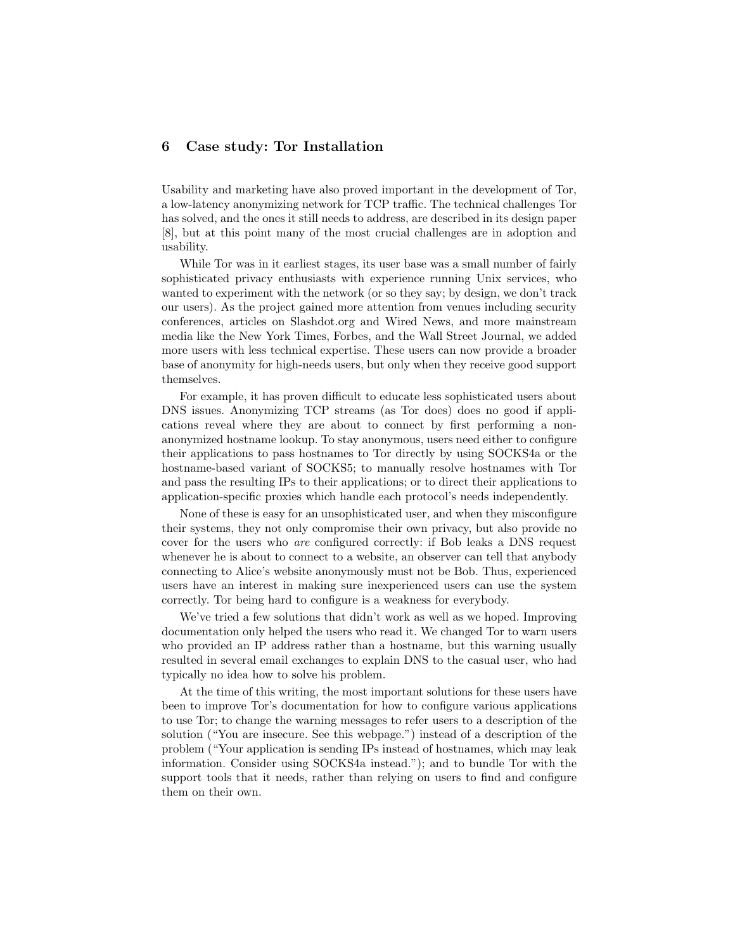## 6 Case study: Tor Installation

Usability and marketing have also proved important in the development of Tor, a low-latency anonymizing network for TCP traffic. The technical challenges Tor has solved, and the ones it still needs to address, are described in its design paper [8], but at this point many of the most crucial challenges are in adoption and usability.

While Tor was in it earliest stages, its user base was a small number of fairly sophisticated privacy enthusiasts with experience running Unix services, who wanted to experiment with the network (or so they say; by design, we don't track our users). As the project gained more attention from venues including security conferences, articles on Slashdot.org and Wired News, and more mainstream media like the New York Times, Forbes, and the Wall Street Journal, we added more users with less technical expertise. These users can now provide a broader base of anonymity for high-needs users, but only when they receive good support themselves.

For example, it has proven difficult to educate less sophisticated users about DNS issues. Anonymizing TCP streams (as Tor does) does no good if applications reveal where they are about to connect by first performing a nonanonymized hostname lookup. To stay anonymous, users need either to configure their applications to pass hostnames to Tor directly by using SOCKS4a or the hostname-based variant of SOCKS5; to manually resolve hostnames with Tor and pass the resulting IPs to their applications; or to direct their applications to application-specific proxies which handle each protocol's needs independently.

None of these is easy for an unsophisticated user, and when they misconfigure their systems, they not only compromise their own privacy, but also provide no cover for the users who are configured correctly: if Bob leaks a DNS request whenever he is about to connect to a website, an observer can tell that anybody connecting to Alice's website anonymously must not be Bob. Thus, experienced users have an interest in making sure inexperienced users can use the system correctly. Tor being hard to configure is a weakness for everybody.

We've tried a few solutions that didn't work as well as we hoped. Improving documentation only helped the users who read it. We changed Tor to warn users who provided an IP address rather than a hostname, but this warning usually resulted in several email exchanges to explain DNS to the casual user, who had typically no idea how to solve his problem.

At the time of this writing, the most important solutions for these users have been to improve Tor's documentation for how to configure various applications to use Tor; to change the warning messages to refer users to a description of the solution ("You are insecure. See this webpage.") instead of a description of the problem ("Your application is sending IPs instead of hostnames, which may leak information. Consider using SOCKS4a instead."); and to bundle Tor with the support tools that it needs, rather than relying on users to find and configure them on their own.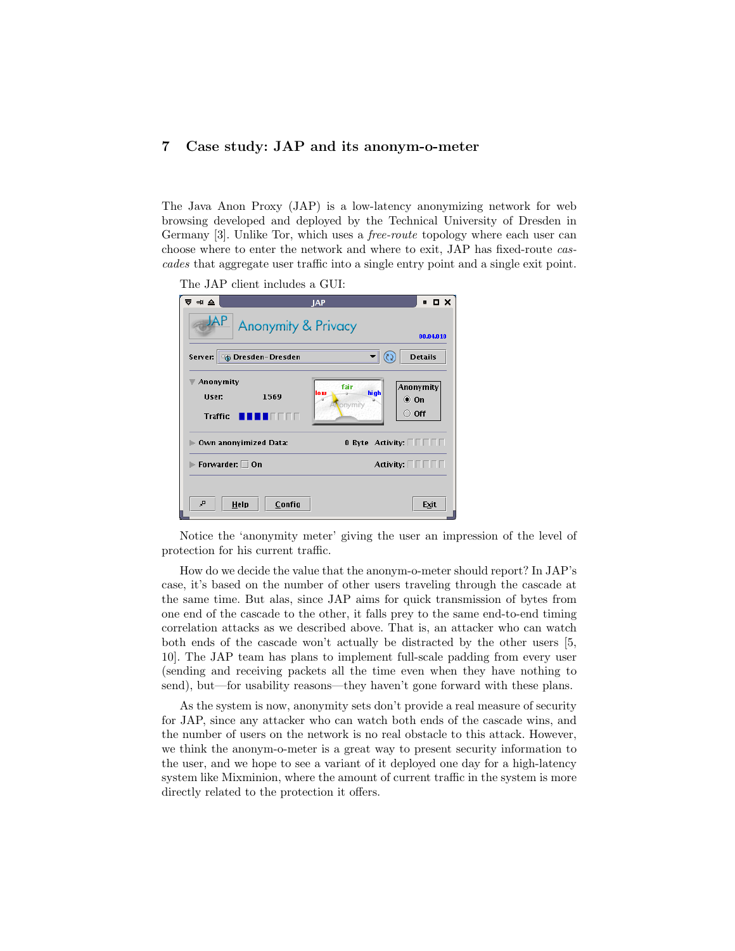# 7 Case study: JAP and its anonym-o-meter

The Java Anon Proxy (JAP) is a low-latency anonymizing network for web browsing developed and deployed by the Technical University of Dresden in Germany [3]. Unlike Tor, which uses a free-route topology where each user can choose where to enter the network and where to exit, JAP has fixed-route cascades that aggregate user traffic into a single entry point and a single exit point.

The JAP client includes a GUI:

| $\Rightarrow$ $\triangle$                        |                                            | <b>JAP</b>                                   |                                     | $\square$ $\times$<br>$\blacksquare$ |
|--------------------------------------------------|--------------------------------------------|----------------------------------------------|-------------------------------------|--------------------------------------|
| JAP                                              | Anonymity & Privacy                        |                                              |                                     | 00.04.010                            |
|                                                  | Server: 06 Dresden-Dresden                 |                                              | $\alpha$                            | <b>Details</b>                       |
| Anonymity<br>User:<br><b>Traffic</b>             | 1569<br>TEEE                               | fair<br>lo w<br>monymity                     | high<br>$\bullet$ On<br>$\circ$ off | <b>Anonymity</b>                     |
| 0 Byte Activity: $\Box$<br>Own anonyimized Data: |                                            |                                              |                                     |                                      |
|                                                  | $\blacktriangleright$ Forwarder: $\Box$ On | Activity: $\Box$ $\Box$ $\Box$ $\Box$ $\Box$ |                                     |                                      |
| д,                                               | Help<br>Config                             |                                              |                                     | Exit                                 |

Notice the 'anonymity meter' giving the user an impression of the level of protection for his current traffic.

How do we decide the value that the anonym-o-meter should report? In JAP's case, it's based on the number of other users traveling through the cascade at the same time. But alas, since JAP aims for quick transmission of bytes from one end of the cascade to the other, it falls prey to the same end-to-end timing correlation attacks as we described above. That is, an attacker who can watch both ends of the cascade won't actually be distracted by the other users [5, 10]. The JAP team has plans to implement full-scale padding from every user (sending and receiving packets all the time even when they have nothing to send), but—for usability reasons—they haven't gone forward with these plans.

As the system is now, anonymity sets don't provide a real measure of security for JAP, since any attacker who can watch both ends of the cascade wins, and the number of users on the network is no real obstacle to this attack. However, we think the anonym-o-meter is a great way to present security information to the user, and we hope to see a variant of it deployed one day for a high-latency system like Mixminion, where the amount of current traffic in the system is more directly related to the protection it offers.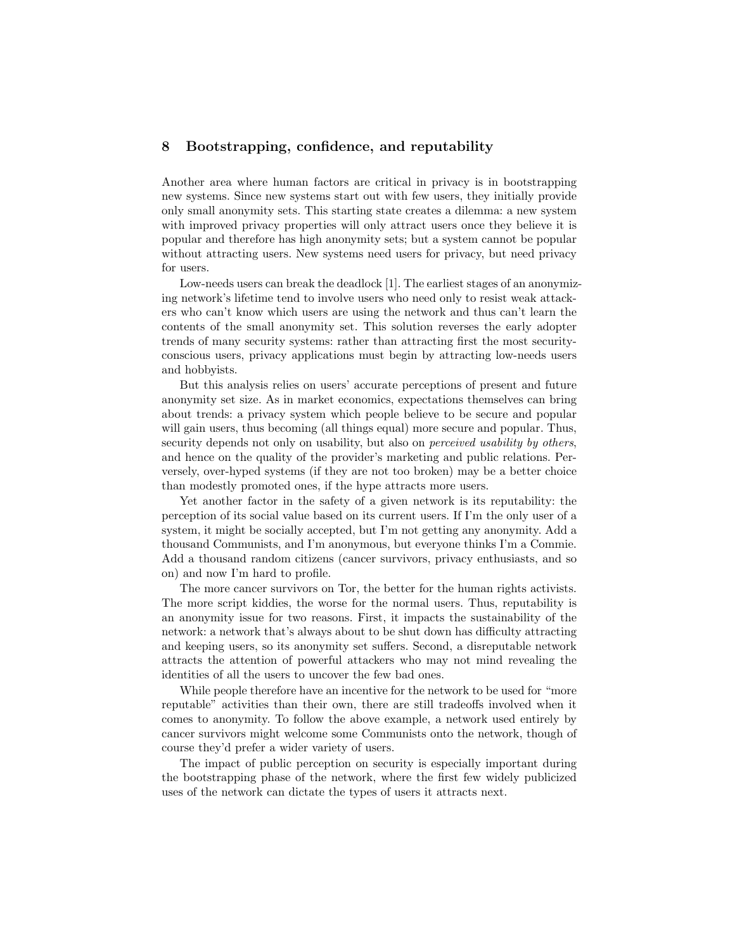## 8 Bootstrapping, confidence, and reputability

Another area where human factors are critical in privacy is in bootstrapping new systems. Since new systems start out with few users, they initially provide only small anonymity sets. This starting state creates a dilemma: a new system with improved privacy properties will only attract users once they believe it is popular and therefore has high anonymity sets; but a system cannot be popular without attracting users. New systems need users for privacy, but need privacy for users.

Low-needs users can break the deadlock [1]. The earliest stages of an anonymizing network's lifetime tend to involve users who need only to resist weak attackers who can't know which users are using the network and thus can't learn the contents of the small anonymity set. This solution reverses the early adopter trends of many security systems: rather than attracting first the most securityconscious users, privacy applications must begin by attracting low-needs users and hobbyists.

But this analysis relies on users' accurate perceptions of present and future anonymity set size. As in market economics, expectations themselves can bring about trends: a privacy system which people believe to be secure and popular will gain users, thus becoming (all things equal) more secure and popular. Thus, security depends not only on usability, but also on *perceived usability by others*, and hence on the quality of the provider's marketing and public relations. Perversely, over-hyped systems (if they are not too broken) may be a better choice than modestly promoted ones, if the hype attracts more users.

Yet another factor in the safety of a given network is its reputability: the perception of its social value based on its current users. If I'm the only user of a system, it might be socially accepted, but I'm not getting any anonymity. Add a thousand Communists, and I'm anonymous, but everyone thinks I'm a Commie. Add a thousand random citizens (cancer survivors, privacy enthusiasts, and so on) and now I'm hard to profile.

The more cancer survivors on Tor, the better for the human rights activists. The more script kiddies, the worse for the normal users. Thus, reputability is an anonymity issue for two reasons. First, it impacts the sustainability of the network: a network that's always about to be shut down has difficulty attracting and keeping users, so its anonymity set suffers. Second, a disreputable network attracts the attention of powerful attackers who may not mind revealing the identities of all the users to uncover the few bad ones.

While people therefore have an incentive for the network to be used for "more reputable" activities than their own, there are still tradeoffs involved when it comes to anonymity. To follow the above example, a network used entirely by cancer survivors might welcome some Communists onto the network, though of course they'd prefer a wider variety of users.

The impact of public perception on security is especially important during the bootstrapping phase of the network, where the first few widely publicized uses of the network can dictate the types of users it attracts next.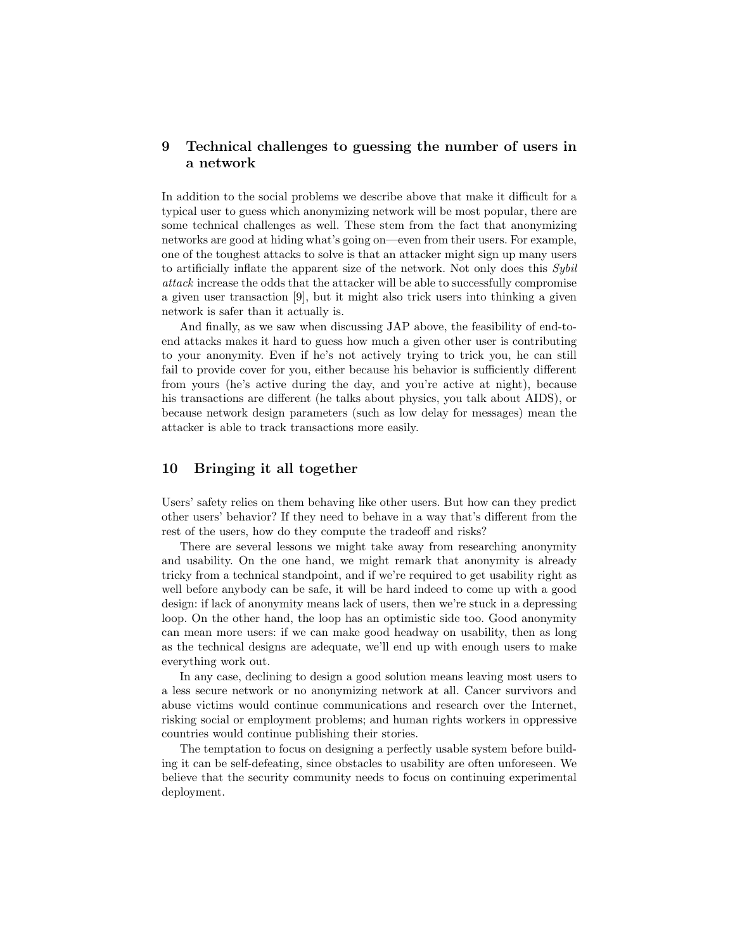# 9 Technical challenges to guessing the number of users in a network

In addition to the social problems we describe above that make it difficult for a typical user to guess which anonymizing network will be most popular, there are some technical challenges as well. These stem from the fact that anonymizing networks are good at hiding what's going on—even from their users. For example, one of the toughest attacks to solve is that an attacker might sign up many users to artificially inflate the apparent size of the network. Not only does this Sybil attack increase the odds that the attacker will be able to successfully compromise a given user transaction [9], but it might also trick users into thinking a given network is safer than it actually is.

And finally, as we saw when discussing JAP above, the feasibility of end-toend attacks makes it hard to guess how much a given other user is contributing to your anonymity. Even if he's not actively trying to trick you, he can still fail to provide cover for you, either because his behavior is sufficiently different from yours (he's active during the day, and you're active at night), because his transactions are different (he talks about physics, you talk about AIDS), or because network design parameters (such as low delay for messages) mean the attacker is able to track transactions more easily.

# 10 Bringing it all together

Users' safety relies on them behaving like other users. But how can they predict other users' behavior? If they need to behave in a way that's different from the rest of the users, how do they compute the tradeoff and risks?

There are several lessons we might take away from researching anonymity and usability. On the one hand, we might remark that anonymity is already tricky from a technical standpoint, and if we're required to get usability right as well before anybody can be safe, it will be hard indeed to come up with a good design: if lack of anonymity means lack of users, then we're stuck in a depressing loop. On the other hand, the loop has an optimistic side too. Good anonymity can mean more users: if we can make good headway on usability, then as long as the technical designs are adequate, we'll end up with enough users to make everything work out.

In any case, declining to design a good solution means leaving most users to a less secure network or no anonymizing network at all. Cancer survivors and abuse victims would continue communications and research over the Internet, risking social or employment problems; and human rights workers in oppressive countries would continue publishing their stories.

The temptation to focus on designing a perfectly usable system before building it can be self-defeating, since obstacles to usability are often unforeseen. We believe that the security community needs to focus on continuing experimental deployment.